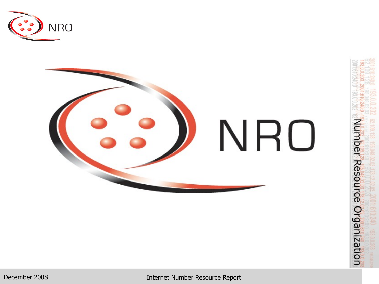



December 2008 Internet Number Resource Report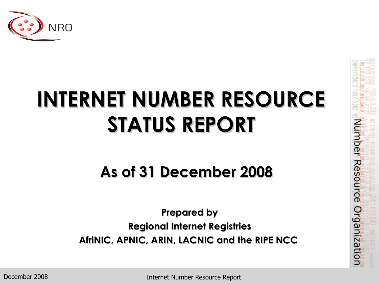

# **INTERNET NUMBER RESOURCE STATUS REPORT**

#### **As of 31 December 2008**

**Prepared by Regional Internet Registries AfriNIC, APNIC, ARIN, LACNIC and the RIPE NCC**

December 2008

Internet Number Resource Report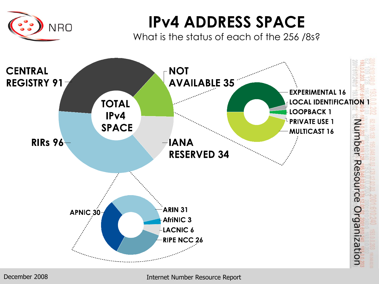

### **IPv4 ADDRESS SPACE**

What is the status of each of the 256 /8s?



December 2008 Internet Number Resource Report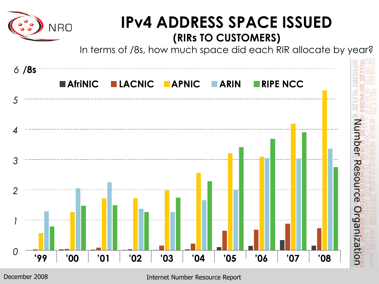

Internet Number Resource Report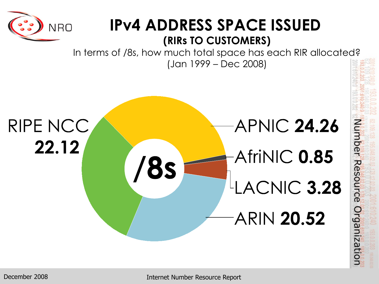

#### **IPv4 ADDRESS SPACE ISSUED (RIRs TO CUSTOMERS)**

In terms of /8s, how much total space has each RIR allocated? (Jan 1999 – Dec 2008)

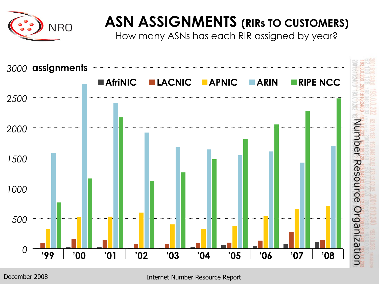

#### **ASN ASSIGNMENTS (RIRs TO CUSTOMERS)**

How many ASNs has each RIR assigned by year?

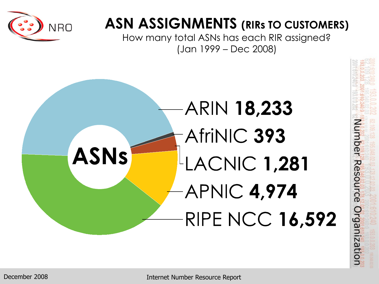

#### **ASN ASSIGNMENTS (RIRs TO CUSTOMERS)**

How many total ASNs has each RIR assigned? (Jan 1999 – Dec 2008)

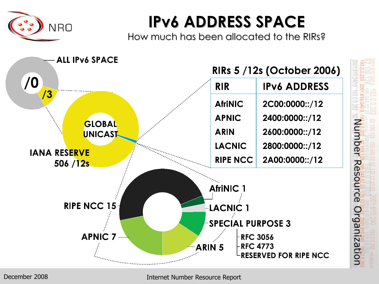

## **IPv6 ADDRESS SPACE**

How much has been allocated to the RIRs?



December 2008

Internet Number Resource Report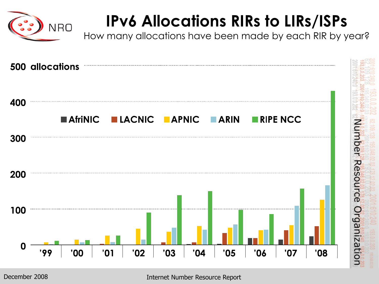

# **IPv6 Allocations RIRs to LIRs/ISPs**

How many allocations have been made by each RIR by year?

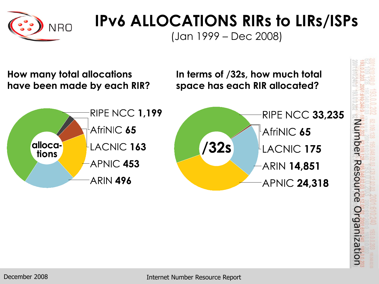

## **IPv6 ALLOCATIONS RIRs to LIRs/ISPs**

(Jan 1999 – Dec 2008)

**How many total allocations have been made by each RIR?** **In terms of /32s, how much total space has each RIR allocated?**



Number Resource Organization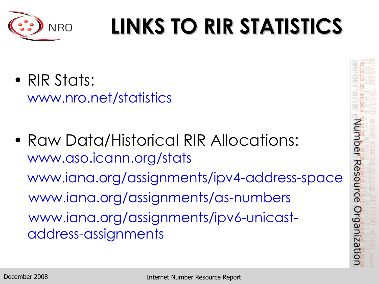

# **LINKS TO RIR STATISTICS**

- RIR Stats: www.nro.net/statistics
- Raw Data/Historical RIR Allocations: www.aso.icann.org/stats www.iana.org/assignments/ipv4-address-space www.iana.org/assignments/as-numbers www.iana.org/assignments/ipv6-unicastaddress-assignments